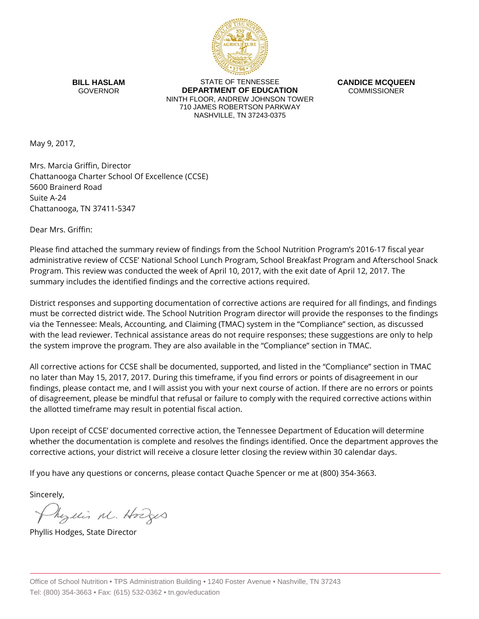

**BILL HASLAM** GOVERNOR

STATE OF TENNESSEE **DEPARTMENT OF EDUCATION** NINTH FLOOR, ANDREW JOHNSON TOWER 710 JAMES ROBERTSON PARKWAY NASHVILLE, TN 37243-0375

**CANDICE MCQUEEN** COMMISSIONER

May 9, 2017,

Mrs. Marcia Griffin, Director Chattanooga Charter School Of Excellence (CCSE) 5600 Brainerd Road Suite A-24 Chattanooga, TN 37411-5347

Dear Mrs. Griffin:

Please find attached the summary review of findings from the School Nutrition Program's 2016-17 fiscal year administrative review of CCSE' National School Lunch Program, School Breakfast Program and Afterschool Snack Program. This review was conducted the week of April 10, 2017, with the exit date of April 12, 2017. The summary includes the identified findings and the corrective actions required.

District responses and supporting documentation of corrective actions are required for all findings, and findings must be corrected district wide. The School Nutrition Program director will provide the responses to the findings via the Tennessee: Meals, Accounting, and Claiming (TMAC) system in the "Compliance" section, as discussed with the lead reviewer. Technical assistance areas do not require responses; these suggestions are only to help the system improve the program. They are also available in the "Compliance" section in TMAC.

All corrective actions for CCSE shall be documented, supported, and listed in the "Compliance" section in TMAC no later than May 15, 2017, 2017. During this timeframe, if you find errors or points of disagreement in our findings, please contact me, and I will assist you with your next course of action. If there are no errors or points of disagreement, please be mindful that refusal or failure to comply with the required corrective actions within the allotted timeframe may result in potential fiscal action.

Upon receipt of CCSE' documented corrective action, the Tennessee Department of Education will determine whether the documentation is complete and resolves the findings identified. Once the department approves the corrective actions, your district will receive a closure letter closing the review within 30 calendar days.

If you have any questions or concerns, please contact Quache Spencer or me at (800) 354-3663.

Sincerely,

Myllis M. Hodges

Phyllis Hodges, State Director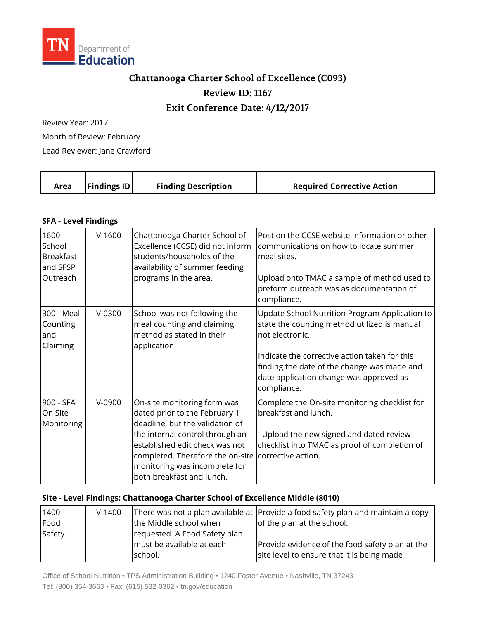

## **Chattanooga Charter School of Excellence (C093) Review ID: 1167**

## **Exit Conference Date: 4/12/2017**

Review Year: 2017 Month of Review: February

Lead Reviewer: Jane Crawford

| <b>Findings ID</b><br><b>Finding Description</b><br><b>Required Corrective Action</b><br>Area |
|-----------------------------------------------------------------------------------------------|
|-----------------------------------------------------------------------------------------------|

## **SFA - Level Findings**

| $1600 -$<br>School<br><b>Breakfast</b><br>and SFSP<br>Outreach | $V-1600$ | Chattanooga Charter School of<br>Excellence (CCSE) did not inform<br>students/households of the<br>availability of summer feeding<br>programs in the area.                                                                                                                                | Post on the CCSE website information or other<br>communications on how to locate summer<br>meal sites.<br>Upload onto TMAC a sample of method used to<br>preform outreach was as documentation of<br>compliance.                                                            |
|----------------------------------------------------------------|----------|-------------------------------------------------------------------------------------------------------------------------------------------------------------------------------------------------------------------------------------------------------------------------------------------|-----------------------------------------------------------------------------------------------------------------------------------------------------------------------------------------------------------------------------------------------------------------------------|
| 300 - Meal<br>Counting<br>and<br>Claiming                      | $V-0300$ | School was not following the<br>meal counting and claiming<br>method as stated in their<br>application.                                                                                                                                                                                   | Update School Nutrition Program Application to<br>state the counting method utilized is manual<br>not electronic.<br>Indicate the corrective action taken for this<br>finding the date of the change was made and<br>date application change was approved as<br>compliance. |
| 900 - SFA<br>On Site<br>Monitoring                             | V-0900   | On-site monitoring form was<br>dated prior to the February 1<br>deadline, but the validation of<br>the internal control through an<br>established edit check was not<br>completed. Therefore the on-site corrective action.<br>monitoring was incomplete for<br>both breakfast and lunch. | Complete the On-site monitoring checklist for<br>breakfast and lunch.<br>Upload the new signed and dated review<br>checklist into TMAC as proof of completion of                                                                                                            |

## **Site - Level Findings: Chattanooga Charter School of Excellence Middle (8010)**

| $1400 -$ | $V-1400$ |                               | There was not a plan available at Provide a food safety plan and maintain a copy |
|----------|----------|-------------------------------|----------------------------------------------------------------------------------|
| Food     |          | the Middle school when        | of the plan at the school.                                                       |
| Safety   |          | requested. A Food Safety plan |                                                                                  |
|          |          | must be available at each     | Provide evidence of the food safety plan at the                                  |
|          |          | school.                       | site level to ensure that it is being made                                       |